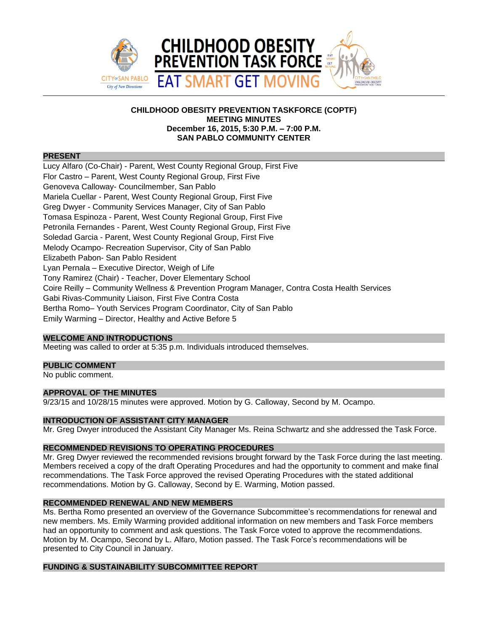

## **CHILDHOOD OBESITY PREVENTION TASKFORCE (COPTF) MEETING MINUTES December 16, 2015, 5:30 P.M. – 7:00 P.M. SAN PABLO COMMUNITY CENTER**

#### **PRESENT**

Lucy Alfaro (Co-Chair) - Parent, West County Regional Group, First Five Flor Castro – Parent, West County Regional Group, First Five Genoveva Calloway- Councilmember, San Pablo Mariela Cuellar - Parent, West County Regional Group, First Five Greg Dwyer - Community Services Manager, City of San Pablo Tomasa Espinoza - Parent, West County Regional Group, First Five Petronila Fernandes - Parent, West County Regional Group, First Five Soledad Garcia - Parent, West County Regional Group, First Five Melody Ocampo- Recreation Supervisor, City of San Pablo Elizabeth Pabon- San Pablo Resident Lyan Pernala – Executive Director, Weigh of Life Tony Ramirez (Chair) - Teacher, Dover Elementary School Coire Reilly – Community Wellness & Prevention Program Manager, Contra Costa Health Services Gabi Rivas-Community Liaison, First Five Contra Costa Bertha Romo– Youth Services Program Coordinator, City of San Pablo Emily Warming – Director, Healthy and Active Before 5

## **WELCOME AND INTRODUCTIONS**

Meeting was called to order at 5:35 p.m. Individuals introduced themselves.

### **PUBLIC COMMENT**

No public comment.

# **APPROVAL OF THE MINUTES**

9/23/15 and 10/28/15 minutes were approved. Motion by G. Calloway, Second by M. Ocampo.

### **INTRODUCTION OF ASSISTANT CITY MANAGER**

Mr. Greg Dwyer introduced the Assistant City Manager Ms. Reina Schwartz and she addressed the Task Force.

# **RECOMMENDED REVISIONS TO OPERATING PROCEDURES**

Mr. Greg Dwyer reviewed the recommended revisions brought forward by the Task Force during the last meeting. Members received a copy of the draft Operating Procedures and had the opportunity to comment and make final recommendations. The Task Force approved the revised Operating Procedures with the stated additional recommendations. Motion by G. Calloway, Second by E. Warming, Motion passed.

### **RECOMMENDED RENEWAL AND NEW MEMBERS**

Ms. Bertha Romo presented an overview of the Governance Subcommittee's recommendations for renewal and new members. Ms. Emily Warming provided additional information on new members and Task Force members had an opportunity to comment and ask questions. The Task Force voted to approve the recommendations. Motion by M. Ocampo, Second by L. Alfaro, Motion passed. The Task Force's recommendations will be presented to City Council in January.

# **FUNDING & SUSTAINABILITY SUBCOMMITTEE REPORT**